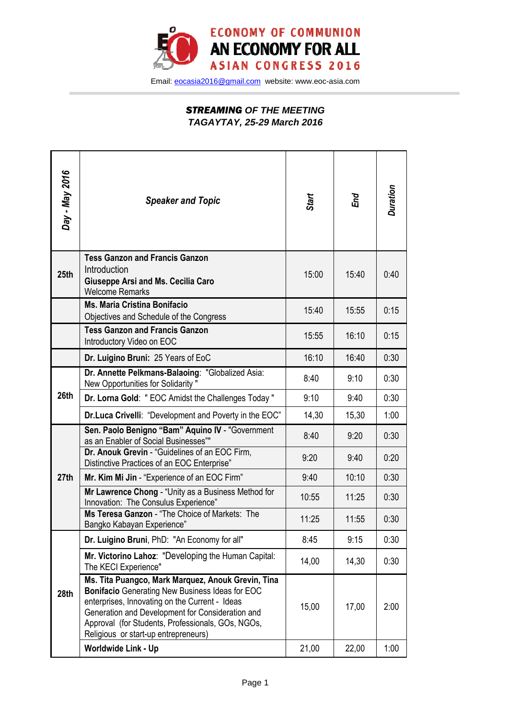

Email: eocasia2016@gmail.com website: www.eoc-asia.com

## *STREAMING* **OF THE MEETING TAGAYTAY, 25-29 March 2016**

| Day - May 2016 | <b>Speaker and Topic</b>                                                                                                                                                                                                                                                                                        | Start | End   | Duration |
|----------------|-----------------------------------------------------------------------------------------------------------------------------------------------------------------------------------------------------------------------------------------------------------------------------------------------------------------|-------|-------|----------|
| 25th           | <b>Tess Ganzon and Francis Ganzon</b><br>Introduction<br><b>Giuseppe Arsi and Ms. Cecilia Caro</b><br><b>Welcome Remarks</b>                                                                                                                                                                                    | 15:00 | 15:40 | 0:40     |
|                | <b>Ms. Maria Cristina Bonifacio</b><br>Objectives and Schedule of the Congress                                                                                                                                                                                                                                  | 15:40 | 15:55 | 0:15     |
|                | <b>Tess Ganzon and Francis Ganzon</b><br>Introductory Video on EOC                                                                                                                                                                                                                                              | 15:55 | 16:10 | 0:15     |
|                | Dr. Luigino Bruni: 25 Years of EoC                                                                                                                                                                                                                                                                              | 16:10 | 16:40 | 0:30     |
| 26th           | Dr. Annette Pelkmans-Balaoing: "Globalized Asia:<br>New Opportunities for Solidarity"                                                                                                                                                                                                                           | 8:40  | 9:10  | 0:30     |
|                | Dr. Lorna Gold: "EOC Amidst the Challenges Today"                                                                                                                                                                                                                                                               | 9:10  | 9:40  | 0:30     |
|                | Dr.Luca Crivelli: "Development and Poverty in the EOC"                                                                                                                                                                                                                                                          | 14,30 | 15,30 | 1:00     |
| 27th           | Sen. Paolo Benigno "Bam" Aquino IV - "Government<br>as an Enabler of Social Businesses""                                                                                                                                                                                                                        | 8:40  | 9:20  | 0:30     |
|                | Dr. Anouk Grevin - "Guidelines of an EOC Firm,<br>Distinctive Practices of an EOC Enterprise"                                                                                                                                                                                                                   | 9:20  | 9:40  | 0:20     |
|                | Mr. Kim Mi Jin - "Experience of an EOC Firm"                                                                                                                                                                                                                                                                    | 9:40  | 10:10 | 0:30     |
|                | Mr Lawrence Chong - "Unity as a Business Method for<br>Innovation: The Consulus Experience"                                                                                                                                                                                                                     | 10:55 | 11:25 | 0:30     |
|                | Ms Teresa Ganzon - "The Choice of Markets: The<br>Bangko Kabayan Experience"                                                                                                                                                                                                                                    | 11:25 | 11:55 | 0:30     |
| 28th           | Dr. Luigino Bruni, PhD: "An Economy for all"                                                                                                                                                                                                                                                                    | 8:45  | 9:15  | 0:30     |
|                | Mr. Victorino Lahoz: "Developing the Human Capital:<br>The KECI Experience"                                                                                                                                                                                                                                     | 14,00 | 14,30 | 0:30     |
|                | Ms. Tita Puangco, Mark Marquez, Anouk Grevin, Tina<br><b>Bonifacio</b> Generating New Business Ideas for EOC<br>enterprises, Innovating on the Current - Ideas<br>Generation and Development for Consideration and<br>Approval (for Students, Professionals, GOs, NGOs,<br>Religious or start-up entrepreneurs) | 15,00 | 17,00 | 2:00     |
|                | Worldwide Link - Up                                                                                                                                                                                                                                                                                             | 21,00 | 22,00 | 1:00     |